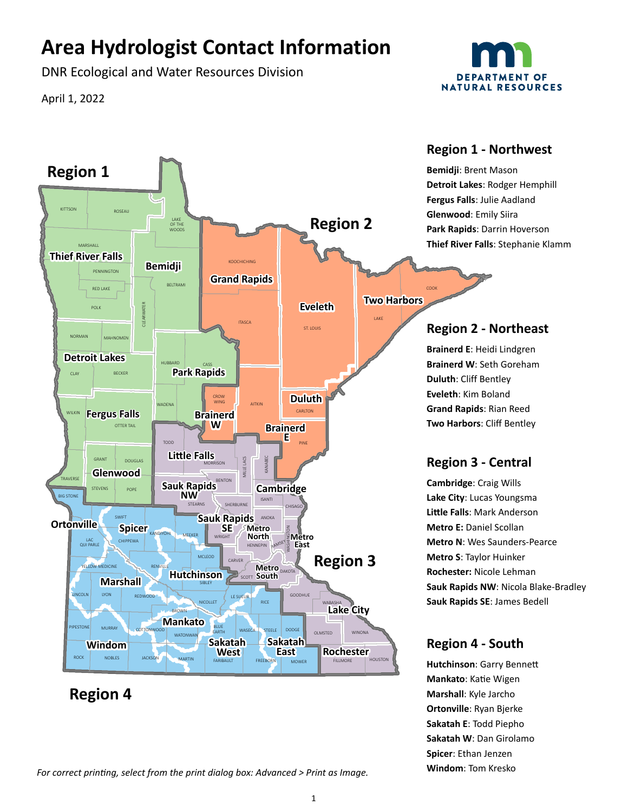# **Area Hydrologist Contact Information**

DNR Ecological and Water Resources Division

April 1, 2022



**Marshall**: Kyle Jarcho **Ortonville**: Ryan Bjerke **Sakatah E**: Todd Piepho **Sakatah W**: Dan Girolamo **Spicer**: Ethan Jenzen



## **Region 4**

For correct printing, select from the print dialog box: Advanced > Print as Image. **Windom**: Tom Kresko